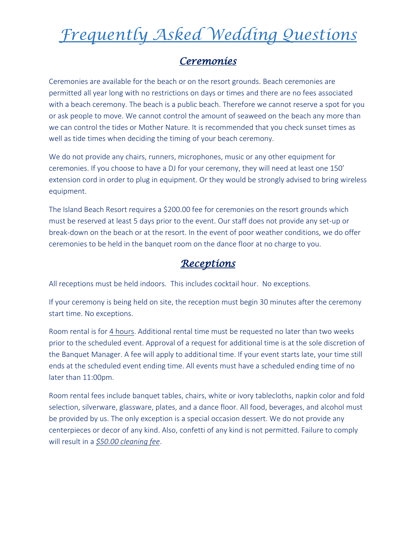#### *Ceremonies*

Ceremonies are available for the beach or on the resort grounds. Beach ceremonies are permitted all year long with no restrictions on days or times and there are no fees associated with a beach ceremony. The beach is a public beach. Therefore we cannot reserve a spot for you or ask people to move. We cannot control the amount of seaweed on the beach any more than we can control the tides or Mother Nature. It is recommended that you check sunset times as well as tide times when deciding the timing of your beach ceremony.

We do not provide any chairs, runners, microphones, music or any other equipment for ceremonies. If you choose to have a DJ for your ceremony, they will need at least one 150' extension cord in order to plug in equipment. Or they would be strongly advised to bring wireless equipment.

The Island Beach Resort requires a \$200.00 fee for ceremonies on the resort grounds which must be reserved at least 5 days prior to the event. Our staff does not provide any set-up or break-down on the beach or at the resort. In the event of poor weather conditions, we do offer ceremonies to be held in the banquet room on the dance floor at no charge to you.

#### *Receptions*

All receptions must be held indoors. This includes cocktail hour. No exceptions.

If your ceremony is being held on site, the reception must begin 30 minutes after the ceremony start time. No exceptions.

Room rental is for 4 hours. Additional rental time must be requested no later than two weeks prior to the scheduled event. Approval of a request for additional time is at the sole discretion of the Banquet Manager. A fee will apply to additional time. If your event starts late, your time still ends at the scheduled event ending time. All events must have a scheduled ending time of no later than 11:00pm.

Room rental fees include banquet tables, chairs, white or ivory tablecloths, napkin color and fold selection, silverware, glassware, plates, and a dance floor. All food, beverages, and alcohol must be provided by us. The only exception is a special occasion dessert. We do not provide any centerpieces or decor of any kind. Also, confetti of any kind is not permitted. Failure to comply will result in a *\$50.00 cleaning fee*.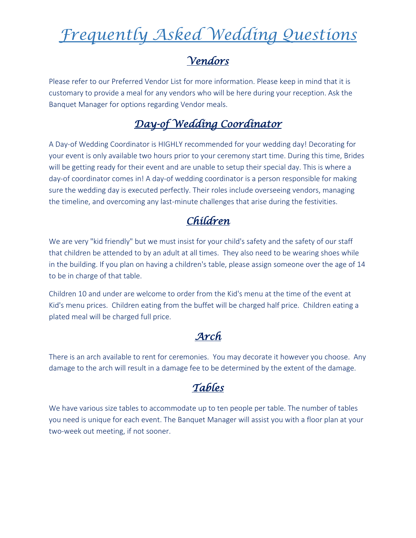### *Vendors*

Please refer to our Preferred Vendor List for more information. Please keep in mind that it is customary to provide a meal for any vendors who will be here during your reception. Ask the Banquet Manager for options regarding Vendor meals.

# *Day-of Wedding Coordinator*

A Day-of Wedding Coordinator is HIGHLY recommended for your wedding day! Decorating for your event is only available two hours prior to your ceremony start time. During this time, Brides will be getting ready for their event and are unable to setup their special day. This is where a day-of coordinator comes in! A day-of wedding coordinator is a person responsible for making sure the wedding day is executed perfectly. Their roles include overseeing vendors, managing the timeline, and overcoming any last-minute challenges that arise during the festivities.

### *Children*

We are very "kid friendly" but we must insist for your child's safety and the safety of our staff that children be attended to by an adult at all times. They also need to be wearing shoes while in the building. If you plan on having a children's table, please assign someone over the age of 14 to be in charge of that table.

Children 10 and under are welcome to order from the Kid's menu at the time of the event at Kid's menu prices. Children eating from the buffet will be charged half price. Children eating a plated meal will be charged full price.

#### *Arch*

There is an arch available to rent for ceremonies. You may decorate it however you choose. Any damage to the arch will result in a damage fee to be determined by the extent of the damage.

## *Tables*

We have various size tables to accommodate up to ten people per table. The number of tables you need is unique for each event. The Banquet Manager will assist you with a floor plan at your two-week out meeting, if not sooner.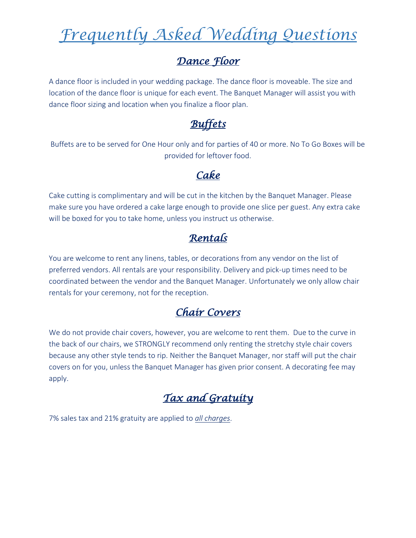#### *Dance Floor*

A dance floor is included in your wedding package. The dance floor is moveable. The size and location of the dance floor is unique for each event. The Banquet Manager will assist you with dance floor sizing and location when you finalize a floor plan.

# *Buffets*

Buffets are to be served for One Hour only and for parties of 40 or more. No To Go Boxes will be provided for leftover food.

#### *Cake*

Cake cutting is complimentary and will be cut in the kitchen by the Banquet Manager. Please make sure you have ordered a cake large enough to provide one slice per guest. Any extra cake will be boxed for you to take home, unless you instruct us otherwise.

# *Rentals*

You are welcome to rent any linens, tables, or decorations from any vendor on the list of preferred vendors. All rentals are your responsibility. Delivery and pick-up times need to be coordinated between the vendor and the Banquet Manager. Unfortunately we only allow chair rentals for your ceremony, not for the reception.

### *Chair Covers*

We do not provide chair covers, however, you are welcome to rent them. Due to the curve in the back of our chairs, we STRONGLY recommend only renting the stretchy style chair covers because any other style tends to rip. Neither the Banquet Manager, nor staff will put the chair covers on for you, unless the Banquet Manager has given prior consent. A decorating fee may apply.

## *Tax and Gratuity*

7% sales tax and 21% gratuity are applied to *all charges*.